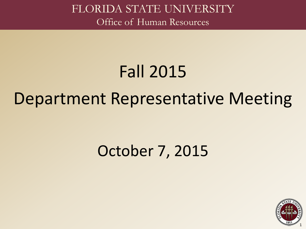## Fall 2015

### Department Representative Meeting

### October 7, 2015

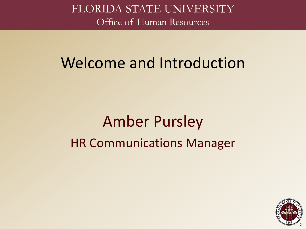### Welcome and Introduction

## Amber Pursley HR Communications Manager

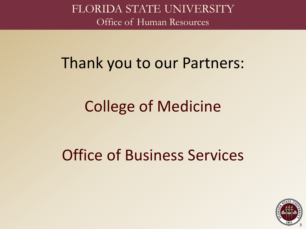### Thank you to our Partners:

### College of Medicine

## Office of Business Services

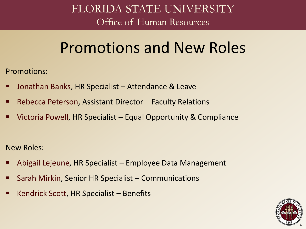### Promotions and New Roles

Promotions:

- Jonathan Banks, HR Specialist Attendance & Leave
- Rebecca Peterson, Assistant Director Faculty Relations
- Victoria Powell, HR Specialist Equal Opportunity & Compliance

New Roles:

- Abigail Lejeune, HR Specialist Employee Data Management
- Sarah Mirkin, Senior HR Specialist Communications
- Kendrick Scott, HR Specialist Benefits

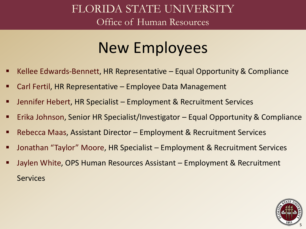### New Employees

- Kellee Edwards-Bennett, HR Representative Equal Opportunity & Compliance
- Carl Fertil, HR Representative Employee Data Management
- Jennifer Hebert, HR Specialist Employment & Recruitment Services
- **Erika Johnson, Senior HR Specialist/Investigator Equal Opportunity & Compliance**
- Rebecca Maas, Assistant Director Employment & Recruitment Services
- Jonathan "Taylor" Moore, HR Specialist Employment & Recruitment Services
- Jaylen White, OPS Human Resources Assistant Employment & Recruitment **Services**

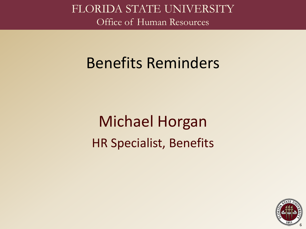### Benefits Reminders

## Michael Horgan HR Specialist, Benefits

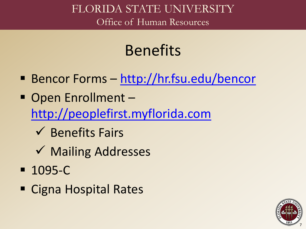## Benefits

- Bencor Forms <http://hr.fsu.edu/bencor>
- Open Enrollment [http://peoplefirst.myflorida.com](http://peoplefirst.myflorida.com/)
	- $\checkmark$  Benefits Fairs
	- **√ Mailing Addresses**
- 1095-C
- Cigna Hospital Rates

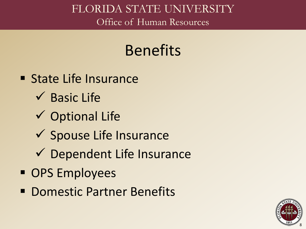### Benefits

- **State Life Insurance** 
	- $\checkmark$  Basic Life
	- $\checkmark$  Optional Life
	- $\checkmark$  Spouse Life Insurance
	- $\checkmark$  Dependent Life Insurance
- **OPS Employees**
- **Domestic Partner Benefits**

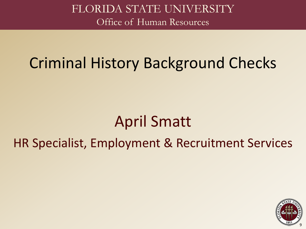### Criminal History Background Checks

### April Smatt

### HR Specialist, Employment & Recruitment Services

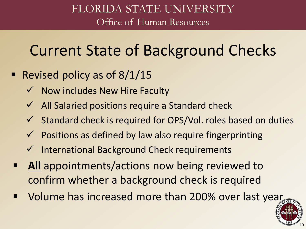### Current State of Background Checks

- Revised policy as of  $8/1/15$ 
	- $\checkmark$  Now includes New Hire Faculty
	- $\checkmark$  All Salaried positions require a Standard check
	- $\checkmark$  Standard check is required for OPS/Vol. roles based on duties
	- $\checkmark$  Positions as defined by law also require fingerprinting
	- $\checkmark$  International Background Check requirements
- **All** appointments/actions now being reviewed to confirm whether a background check is required
- Volume has increased more than 200% over last year

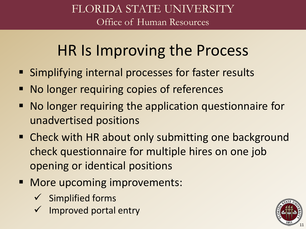### HR Is Improving the Process

- Simplifying internal processes for faster results
- **No longer requiring copies of references**
- No longer requiring the application questionnaire for unadvertised positions
- **EXP** Check with HR about only submitting one background check questionnaire for multiple hires on one job opening or identical positions
- **More upcoming improvements:** 
	- $\checkmark$  Simplified forms
	- Improved portal entry

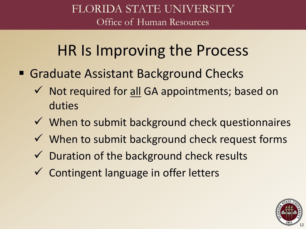### HR Is Improving the Process

- Graduate Assistant Background Checks
	- $\checkmark$  Not required for all GA appointments; based on duties
	- $\checkmark$  When to submit background check questionnaires
	- $\checkmark$  When to submit background check request forms
	- $\checkmark$  Duration of the background check results
	- $\checkmark$  Contingent language in offer letters

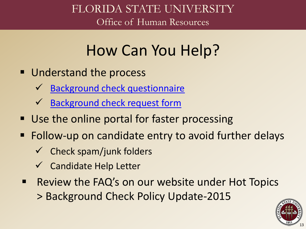### How Can You Help?

- **Understand the process** 
	- [Background check questionnaire](http://www.hr.fsu.edu/pdf/publications/employment/Non-Advertisement-Questionnaire.pdf)
	- [Background check request form](http://www.hr.fsu.edu/pdf/forms/employment/Police_Background_Check_Request.pdf)
- Use the online portal for faster processing
- **Follow-up on candidate entry to avoid further delays** 
	- $\checkmark$  Check spam/junk folders
	- Candidate Help Letter
- Review the FAQ's on our website under Hot Topics > Background Check Policy Update-2015

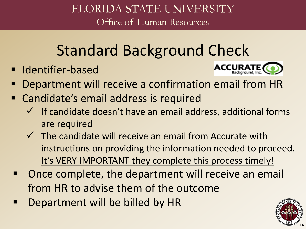## Standard Background Check

**I** Identifier-based



- Department will receive a confirmation email from HR
- Candidate's email address is required
	- $\checkmark$  If candidate doesn't have an email address, additional forms are required
	- $\checkmark$  The candidate will receive an email from Accurate with instructions on providing the information needed to proceed. It's VERY IMPORTANT they complete this process timely!
- Once complete, the department will receive an email from HR to advise them of the outcome
- Department will be billed by HR

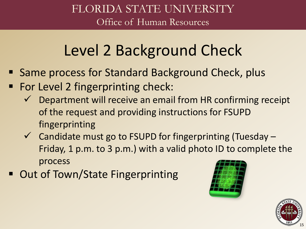## Level 2 Background Check

- Same process for Standard Background Check, plus
- For Level 2 fingerprinting check:
	- $\checkmark$  Department will receive an email from HR confirming receipt of the request and providing instructions for FSUPD fingerprinting
	- $\checkmark$  Candidate must go to FSUPD for fingerprinting (Tuesday Friday, 1 p.m. to 3 p.m.) with a valid photo ID to complete the process
- Out of Town/State Fingerprinting



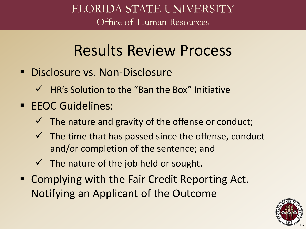### Results Review Process

- Disclosure vs. Non-Disclosure
	- $\checkmark$  HR's Solution to the "Ban the Box" Initiative
- **EEOC Guidelines:** 
	- $\checkmark$  The nature and gravity of the offense or conduct;
	- $\checkmark$  The time that has passed since the offense, conduct and/or completion of the sentence; and
	- $\checkmark$  The nature of the job held or sought.
- Complying with the Fair Credit Reporting Act. Notifying an Applicant of the Outcome

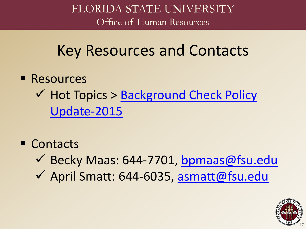Key Resources and Contacts

- **Resources**  $\checkmark$  [Hot Topics > Background Check Policy](http://www.hr.fsu.edu/?page=comm/comm_bg_check_info) Update-2015
- Contacts
	- Becky Maas: 644-7701, [bpmaas@fsu.edu](mailto:bpmaas@fsu.edu)
	- April Smatt: 644-6035, [asmatt@fsu.edu](mailto:asmatt@fsu.edu)

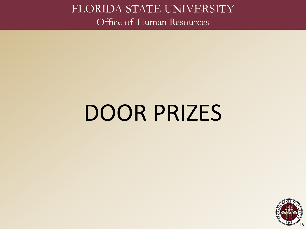# DOOR PRIZES

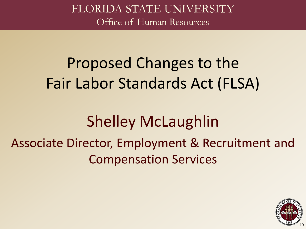## Proposed Changes to the Fair Labor Standards Act (FLSA)

### Shelley McLaughlin

### Associate Director, Employment & Recruitment and Compensation Services

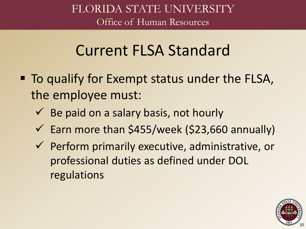### Current FLSA Standard

- To qualify for Exempt status under the FLSA, the employee must:
	- $\checkmark$  Be paid on a salary basis, not hourly
	- $\checkmark$  Earn more than \$455/week (\$23,660 annually)
	- $\checkmark$  Perform primarily executive, administrative, or professional duties as defined under DOL regulations

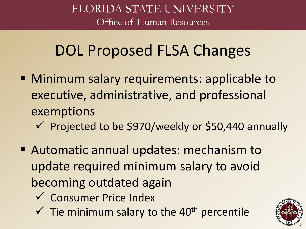### DOL Proposed FLSA Changes

- **Minimum salary requirements: applicable to** executive, administrative, and professional exemptions
	- $\checkmark$  Projected to be \$970/weekly or \$50,440 annually
- Automatic annual updates: mechanism to update required minimum salary to avoid becoming outdated again
	- Consumer Price Index
	- $\checkmark$  Tie minimum salary to the 40<sup>th</sup> percentile

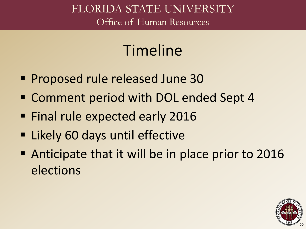### Timeline

- Proposed rule released June 30
- Comment period with DOL ended Sept 4
- **Final rule expected early 2016**
- **Example 1 Likely 60 days until effective**
- Anticipate that it will be in place prior to 2016 elections

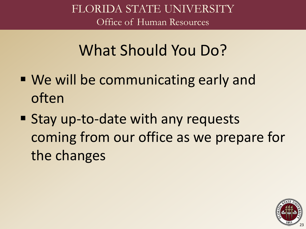### What Should You Do?

- We will be communicating early and often
- Stay up-to-date with any requests coming from our office as we prepare for the changes

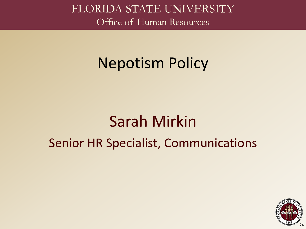### Nepotism Policy

### Sarah Mirkin Senior HR Specialist, Communications

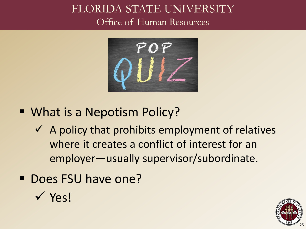

- What is a Nepotism Policy?
	- $\checkmark$  A policy that prohibits employment of relatives where it creates a conflict of interest for an employer—usually supervisor/subordinate.
- Does FSU have one?



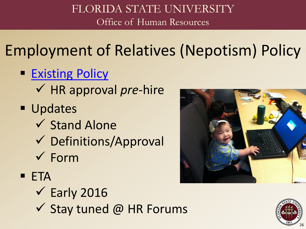Employment of Relatives (Nepotism) Policy

- **[Existing Policy](http://policies.vpfa.fsu.edu/personnel/3b.html%231)** 
	- HR approval *pre-*hire
- **Updates** 
	- $\checkmark$  Stand Alone
	- Definitions/Approval
	- $\checkmark$  Form

**ETA** 

- $\checkmark$  Early 2016
- $\checkmark$  Stay tuned @ HR Forums



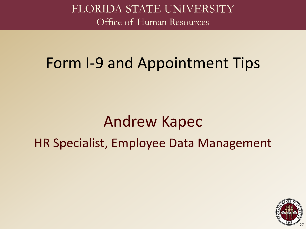### Form I-9 and Appointment Tips

### Andrew Kapec HR Specialist, Employee Data Management

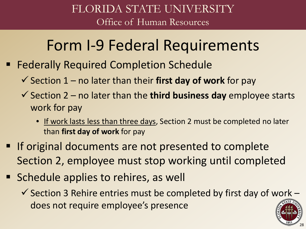### Form I-9 Federal Requirements

- Federally Required Completion Schedule
	- $\checkmark$  Section 1 no later than their **first day of work** for pay
	- $\checkmark$  Section 2 no later than the **third business day** employee starts work for pay
		- If work lasts less than three days, Section 2 must be completed no later than **first day of work** for pay
- **If original documents are not presented to complete** Section 2, employee must stop working until completed
- **Schedule applies to rehires, as well** 
	- $\checkmark$  Section 3 Rehire entries must be completed by first day of work does not require employee's presence

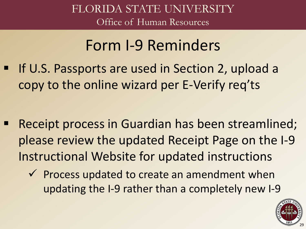### Form I-9 Reminders

 If U.S. Passports are used in Section 2, upload a copy to the online wizard per E-Verify req'ts

- Receipt process in Guardian has been streamlined; please review the updated Receipt Page on the I-9 Instructional Website for updated instructions
	- $\checkmark$  Process updated to create an amendment when updating the I-9 rather than a completely new I-9

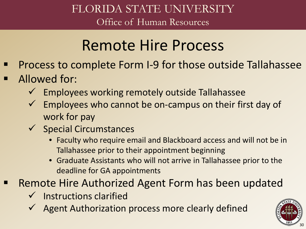### Remote Hire Process

- Process to complete Form I-9 for those outside Tallahassee
- Allowed for:
	- $\checkmark$  Employees working remotely outside Tallahassee
	- $\checkmark$  Employees who cannot be on-campus on their first day of work for pay
	- $\checkmark$  Special Circumstances
		- Faculty who require email and Blackboard access and will not be in Tallahassee prior to their appointment beginning
		- Graduate Assistants who will not arrive in Tallahassee prior to the deadline for GA appointments
- Remote Hire Authorized Agent Form has been updated
	- Instructions clarified
	- Agent Authorization process more clearly defined

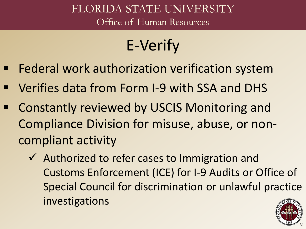## E-Verify

- Federal work authorization verification system
- Verifies data from Form I-9 with SSA and DHS
- Constantly reviewed by USCIS Monitoring and Compliance Division for misuse, abuse, or noncompliant activity
	- $\checkmark$  Authorized to refer cases to Immigration and Customs Enforcement (ICE) for I-9 Audits or Office of Special Council for discrimination or unlawful practice investigations

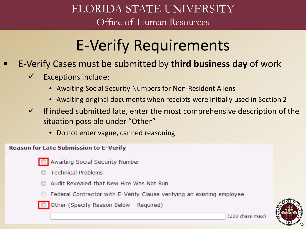## E-Verify Requirements

- E-Verify Cases must be submitted by **third business day** of work
	- $\checkmark$  Exceptions include:
		- Awaiting Social Security Numbers for Non-Resident Aliens
		- Awaiting original documents when receipts were initially used in Section 2
	- $\checkmark$  If indeed submitted late, enter the most comprehensive description of the situation possible under "Other"
		- Do not enter vague, canned reasoning

#### **Reason for Late Submission to E-Verify**

- Awaiting Social Security Number
- **Technical Problems**
- Audit Revealed that New Hire Was Not Run
- Federal Contractor with E-Verify Clause verifying an existing employee
- O Other (Specify Reason Below Required)

32

 $(200 \text{ chars max})$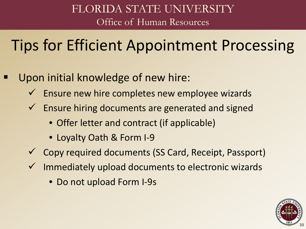### Tips for Efficient Appointment Processing

- Upon initial knowledge of new hire:
	- $\checkmark$  Ensure new hire completes new employee wizards
	- $\checkmark$  Ensure hiring documents are generated and signed
		- Offer letter and contract (if applicable)
		- Loyalty Oath & Form I-9
	- Copy required documents (SS Card, Receipt, Passport)
	- $\checkmark$  Immediately upload documents to electronic wizards
		- Do not upload Form I-9s

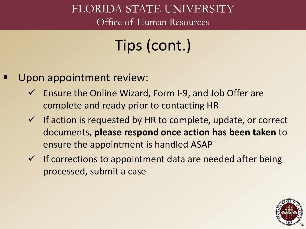### FLORIDA STATE UNIVERSITY

Office of Human Resources

## Tips (cont.)

- Upon appointment review:
	- $\checkmark$  Ensure the Online Wizard, Form I-9, and Job Offer are complete and ready prior to contacting HR
	- $\checkmark$  If action is requested by HR to complete, update, or correct documents, **please respond once action has been taken** to ensure the appointment is handled ASAP
	- $\checkmark$  If corrections to appointment data are needed after being processed, submit a case

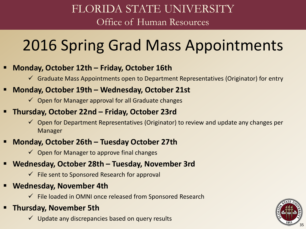### 2016 Spring Grad Mass Appointments

#### **Monday, October 12th – Friday, October 16th**

 $\checkmark$  Graduate Mass Appointments open to Department Representatives (Originator) for entry

#### **Monday, October 19th – Wednesday, October 21st**

 $\checkmark$  Open for Manager approval for all Graduate changes

#### **Thursday, October 22nd – Friday, October 23rd**

 $\checkmark$  Open for Department Representatives (Originator) to review and update any changes per Manager

#### **Monday, October 26th – Tuesday October 27th**

 $\checkmark$  Open for Manager to approve final changes

#### **Wednesday, October 28th – Tuesday, November 3rd**

- $\checkmark$  File sent to Sponsored Research for approval
- **Wednesday, November 4th**
	- $\checkmark$  File loaded in OMNI once released from Sponsored Research

#### **Thursday, November 5th**

 $\checkmark$  Update any discrepancies based on query results

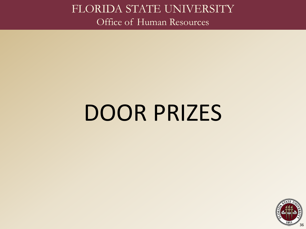# DOOR PRIZES

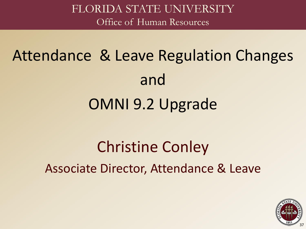# Attendance & Leave Regulation Changes and OMNI 9.2 Upgrade

## Christine Conley Associate Director, Attendance & Leave

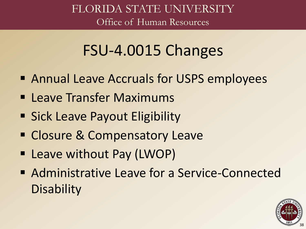## FSU-4.0015 Changes

- **Example 1 Annual Leave Accruals for USPS employees**
- **E** Leave Transfer Maximums
- **Sick Leave Payout Eligibility**
- **Example 2 Compensatory Leave**
- Leave without Pay (LWOP)
- Administrative Leave for a Service-Connected **Disability**

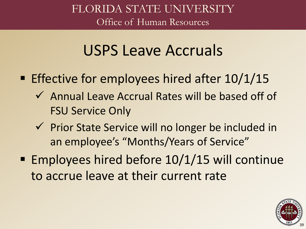## USPS Leave Accruals

- **Effective for employees hired after 10/1/15** 
	- Annual Leave Accrual Rates will be based off of FSU Service Only
	- $\checkmark$  Prior State Service will no longer be included in an employee's "Months/Years of Service"
- Employees hired before 10/1/15 will continue to accrue leave at their current rate

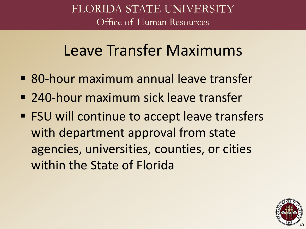## Leave Transfer Maximums

- 80-hour maximum annual leave transfer
- 240-hour maximum sick leave transfer
- FSU will continue to accept leave transfers with department approval from state agencies, universities, counties, or cities within the State of Florida

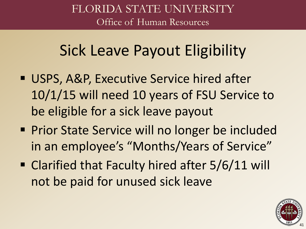## Sick Leave Payout Eligibility

- USPS, A&P, Executive Service hired after 10/1/15 will need 10 years of FSU Service to be eligible for a sick leave payout
- **Prior State Service will no longer be included** in an employee's "Months/Years of Service"
- Clarified that Faculty hired after 5/6/11 will not be paid for unused sick leave

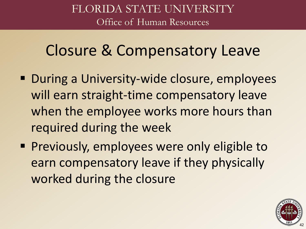## Closure & Compensatory Leave

- **During a University-wide closure, employees** will earn straight-time compensatory leave when the employee works more hours than required during the week
- **Previously, employees were only eligible to** earn compensatory leave if they physically worked during the closure

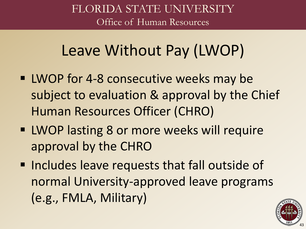## Leave Without Pay (LWOP)

- **UWOP for 4-8 consecutive weeks may be** subject to evaluation & approval by the Chief Human Resources Officer (CHRO)
- **EXT** LWOP lasting 8 or more weeks will require approval by the CHRO
- **Includes leave requests that fall outside of** normal University-approved leave programs (e.g., FMLA, Military)

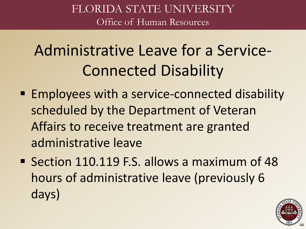# Administrative Leave for a Service-Connected Disability

- Employees with a service-connected disability scheduled by the Department of Veteran Affairs to receive treatment are granted administrative leave
- Section 110.119 F.S. allows a maximum of 48 hours of administrative leave (previously 6 days)

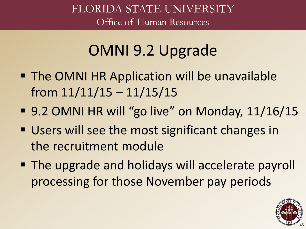# OMNI 9.2 Upgrade

- **The OMNI HR Application will be unavailable** from  $11/11/15 - 11/15/15$
- 9.2 OMNI HR will "go live" on Monday, 11/16/15
- **Users will see the most significant changes in** the recruitment module
- **The upgrade and holidays will accelerate payroll** processing for those November pay periods

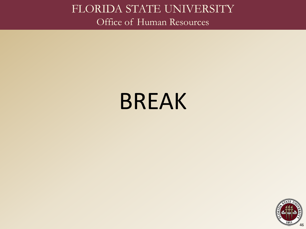# BREAK

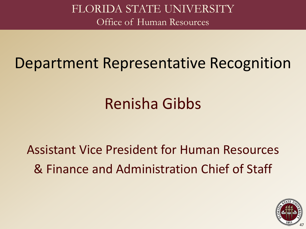### Department Representative Recognition

# Renisha Gibbs

#### Assistant Vice President for Human Resources & Finance and Administration Chief of Staff

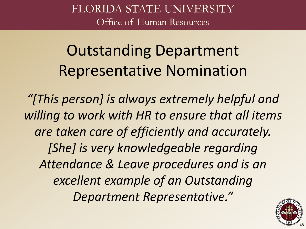Outstanding Department Representative Nomination

*"[This person] is always extremely helpful and willing to work with HR to ensure that all items are taken care of efficiently and accurately. [She] is very knowledgeable regarding Attendance & Leave procedures and is an excellent example of an Outstanding Department Representative."*

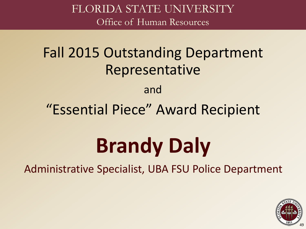### Fall 2015 Outstanding Department Representative

#### and

#### "Essential Piece" Award Recipient

# **Brandy Daly**

Administrative Specialist, UBA FSU Police Department

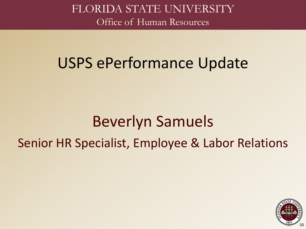### USPS ePerformance Update

## Beverlyn Samuels Senior HR Specialist, Employee & Labor Relations

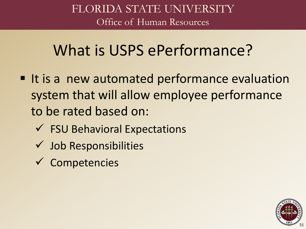## What is USPS ePerformance?

- It is a new automated performance evaluation system that will allow employee performance to be rated based on:
	- $\checkmark$  FSU Behavioral Expectations
	- $\checkmark$  Job Responsibilities
	- $\checkmark$  Competencies

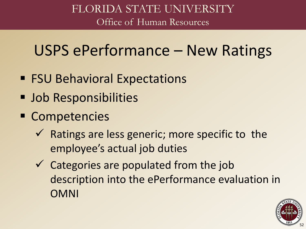## USPS ePerformance – New Ratings

- FSU Behavioral Expectations
- **Job Responsibilities**
- **Competencies** 
	- $\checkmark$  Ratings are less generic; more specific to the employee's actual job duties
	- $\checkmark$  Categories are populated from the job description into the ePerformance evaluation in OMNI

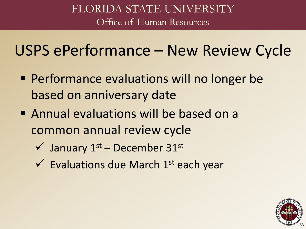## USPS ePerformance – New Review Cycle

- **Performance evaluations will no longer be** based on anniversary date
- **Annual evaluations will be based on a** common annual review cycle
	- $\checkmark$  January 1st December 31st
	- $\checkmark$  Evaluations due March 1<sup>st</sup> each year

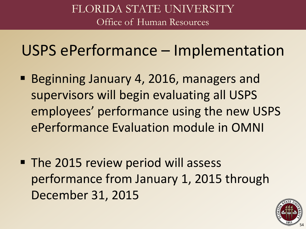USPS ePerformance – Implementation

- **Beginning January 4, 2016, managers and** supervisors will begin evaluating all USPS employees' performance using the new USPS ePerformance Evaluation module in OMNI
- The 2015 review period will assess performance from January 1, 2015 through December 31, 2015

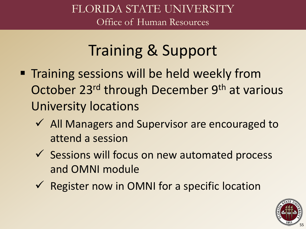# Training & Support

- **Training sessions will be held weekly from** October 23<sup>rd</sup> through December 9<sup>th</sup> at various University locations
	- ◆ All Managers and Supervisor are encouraged to attend a session
	- $\checkmark$  Sessions will focus on new automated process and OMNI module
	- $\checkmark$  Register now in OMNI for a specific location

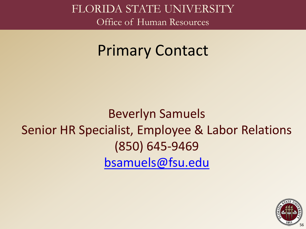### Primary Contact

#### Beverlyn Samuels Senior HR Specialist, Employee & Labor Relations (850) 645-9469 [bsamuels@fsu.edu](mailto:bsamuels@fsu.edu)

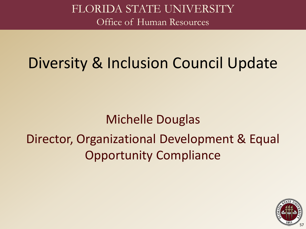## Diversity & Inclusion Council Update

Michelle Douglas Director, Organizational Development & Equal Opportunity Compliance

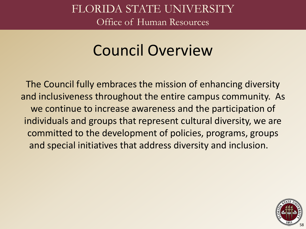## Council Overview

The Council fully embraces the mission of enhancing diversity and inclusiveness throughout the entire campus community. As we continue to increase awareness and the participation of individuals and groups that represent cultural diversity, we are committed to the development of policies, programs, groups and special initiatives that address diversity and inclusion.

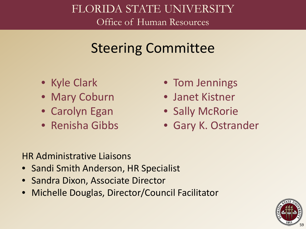#### Steering Committee

- Kyle Clark
- Mary Coburn
- Carolyn Egan
- Renisha Gibbs
- Tom Jennings
- Janet Kistner
- Sally McRorie
- Gary K. Ostrander

HR Administrative Liaisons

- Sandi Smith Anderson, HR Specialist
- Sandra Dixon, Associate Director
- Michelle Douglas, Director/Council Facilitator

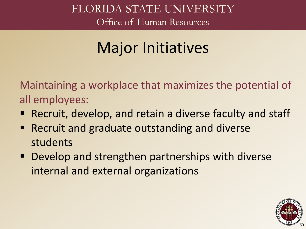## Major Initiatives

Maintaining a workplace that maximizes the potential of all employees:

- Recruit, develop, and retain a diverse faculty and staff
- Recruit and graduate outstanding and diverse students
- Develop and strengthen partnerships with diverse internal and external organizations

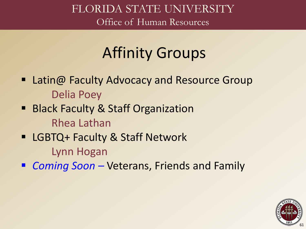## Affinity Groups

- Latin@ Faculty Advocacy and Resource Group Delia Poey
- Black Faculty & Staff Organization Rhea Lathan
- LGBTQ+ Faculty & Staff Network

Lynn Hogan

■ *Coming Soon* – Veterans, Friends and Family

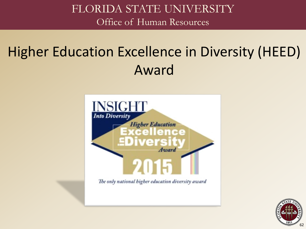## Higher Education Excellence in Diversity (HEED) Award



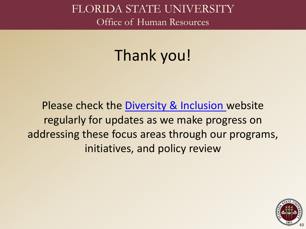# Thank you!

Please check the [Diversity & Inclusion](http://hr.fsu.edu/?page=diversity/diversity_home) website regularly for updates as we make progress on addressing these focus areas through our programs, initiatives, and policy review

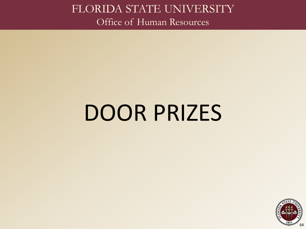# DOOR PRIZES

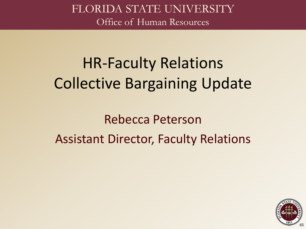# HR-Faculty Relations Collective Bargaining Update

Rebecca Peterson Assistant Director, Faculty Relations

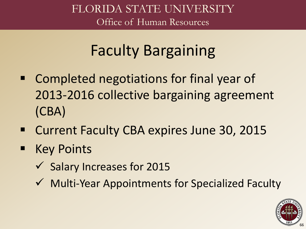# Faculty Bargaining

- **EX Completed negotiations for final year of** 2013-2016 collective bargaining agreement (CBA)
- Current Faculty CBA expires June 30, 2015
- Key Points
	- $\checkmark$  Salary Increases for 2015
	- $\checkmark$  Multi-Year Appointments for Specialized Faculty

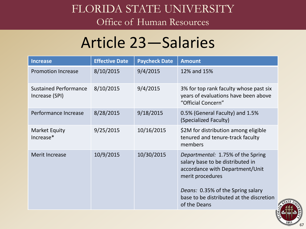## FLORIDA STATE UNIVERSITY

Office of Human Resources

## Article 23―Salaries

| <b>Increase</b>                                | <b>Effective Date</b> | <b>Paycheck Date</b> | <b>Amount</b>                                                                                                                                                                                                                 |
|------------------------------------------------|-----------------------|----------------------|-------------------------------------------------------------------------------------------------------------------------------------------------------------------------------------------------------------------------------|
| <b>Promotion Increase</b>                      | 8/10/2015             | 9/4/2015             | 12% and 15%                                                                                                                                                                                                                   |
| <b>Sustained Performance</b><br>Increase (SPI) | 8/10/2015             | 9/4/2015             | 3% for top rank faculty whose past six<br>years of evaluations have been above<br>"Official Concern"                                                                                                                          |
| Performance Increase                           | 8/28/2015             | 9/18/2015            | 0.5% (General Faculty) and 1.5%<br>(Specialized Faculty)                                                                                                                                                                      |
| Market Equity<br>Increase*                     | 9/25/2015             | 10/16/2015           | \$2M for distribution among eligible<br>tenured and tenure-track faculty<br>members                                                                                                                                           |
| <b>Merit Increase</b>                          | 10/9/2015             | 10/30/2015           | Departmental: 1.75% of the Spring<br>salary base to be distributed in<br>accordance with Department/Unit<br>merit procedures<br>Deans: 0.35% of the Spring salary<br>base to be distributed at the discretion<br>of the Deans |

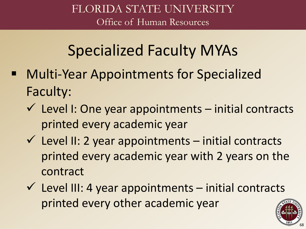## Specialized Faculty MYAs

- Multi-Year Appointments for Specialized Faculty:
	- $\checkmark$  Level I: One year appointments initial contracts printed every academic year
	- $\checkmark$  Level II: 2 year appointments initial contracts printed every academic year with 2 years on the contract
	- $\checkmark$  Level III: 4 year appointments initial contracts printed every other academic year

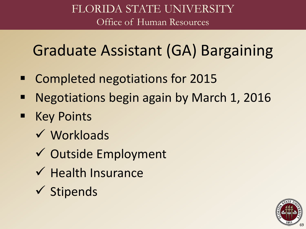## Graduate Assistant (GA) Bargaining

- Completed negotiations for 2015
- Negotiations begin again by March 1, 2016
- **E** Key Points
	- Workloads
	- Outside Employment
	- $\checkmark$  Health Insurance
	- $\checkmark$  Stipends

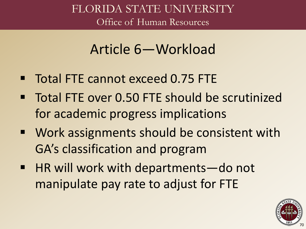#### Article 6―Workload

- Total FTE cannot exceed 0.75 FTE
- Total FTE over 0.50 FTE should be scrutinized for academic progress implications
- Work assignments should be consistent with GA's classification and program
- HR will work with departments—do not manipulate pay rate to adjust for FTE

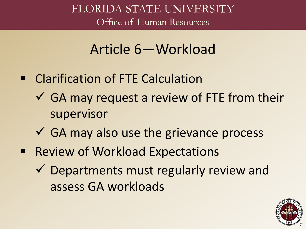#### Article 6―Workload

- **EXECUTE: Clarification of FTE Calculation** 
	- $\checkmark$  GA may request a review of FTE from their supervisor
	- $\checkmark$  GA may also use the grievance process
- Review of Workload Expectations
	- $\checkmark$  Departments must regularly review and assess GA workloads

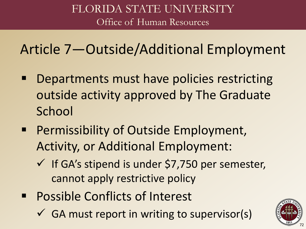Article 7―Outside/Additional Employment

- **Departments must have policies restricting** outside activity approved by The Graduate **School**
- **Permissibility of Outside Employment,** Activity, or Additional Employment:
	- $\checkmark$  If GA's stipend is under \$7,750 per semester, cannot apply restrictive policy
- Possible Conflicts of Interest
	- $\checkmark$  GA must report in writing to supervisor(s)

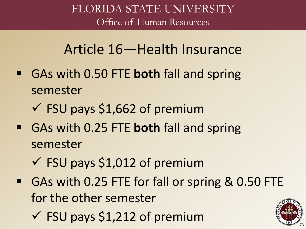### Article 16―Health Insurance

- GAs with 0.50 FTE **both** fall and spring semester
	- $\checkmark$  FSU pays \$1,662 of premium
- GAs with 0.25 FTE **both** fall and spring semester
	- $\checkmark$  FSU pays \$1,012 of premium
- GAs with 0.25 FTE for fall or spring & 0.50 FTE for the other semester
	- $\checkmark$  FSU pays \$1,212 of premium

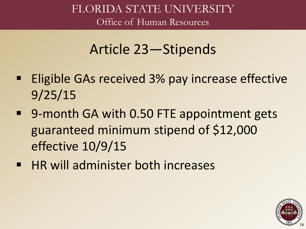### Article 23―Stipends

- **Eligible GAs received 3% pay increase effective** 9/25/15
- 9-month GA with 0.50 FTE appointment gets guaranteed minimum stipend of \$12,000 effective 10/9/15
- **HR will administer both increases**

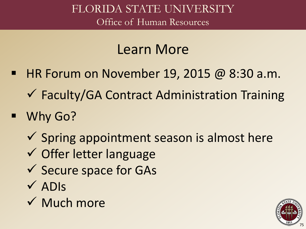### Learn More

- $\blacksquare$  HR Forum on November 19, 2015 @ 8:30 a.m.
	- Faculty/GA Contract Administration Training
- Why Go?
	- $\checkmark$  Spring appointment season is almost here
	- Offer letter language
	- $\checkmark$  Secure space for GAs
	- $\sqrt{\text{ADIs}}$
	- $\checkmark$  Much more

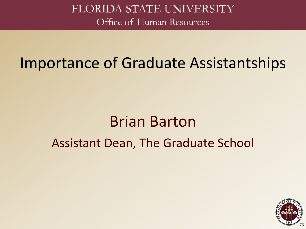## Importance of Graduate Assistantships

# Brian Barton Assistant Dean, The Graduate School

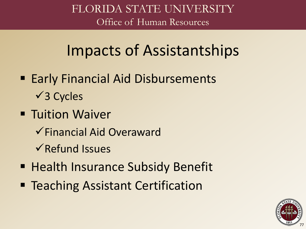## Impacts of Assistantships

- Early Financial Aid Disbursements  $\sqrt{3}$  Cycles
- **Tuition Waiver** 
	- Financial Aid Overaward
	- $\sqrt{\mathsf{Refund}}$  Issues
- **Health Insurance Subsidy Benefit**
- Teaching Assistant Certification

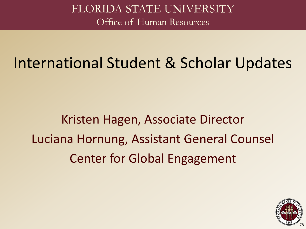## International Student & Scholar Updates

Kristen Hagen, Associate Director Luciana Hornung, Assistant General Counsel Center for Global Engagement

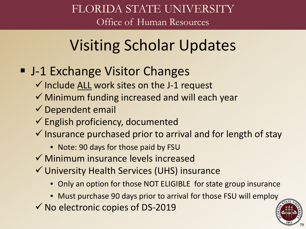# Visiting Scholar Updates

#### ■ J-1 Exchange Visitor Changes

- $\checkmark$  Include ALL work sites on the J-1 request
- $\checkmark$  Minimum funding increased and will each year
- $\checkmark$  Dependent email
- $\checkmark$  English proficiency, documented
- $\checkmark$  Insurance purchased prior to arrival and for length of stay
	- Note: 90 days for those paid by FSU
- $\checkmark$  Minimum insurance levels increased
- University Health Services (UHS) insurance
	- Only an option for those NOT ELIGIBLE for state group insurance
	- Must purchase 90 days prior to arrival for those FSU will employ
- $\checkmark$  No electronic copies of DS-2019

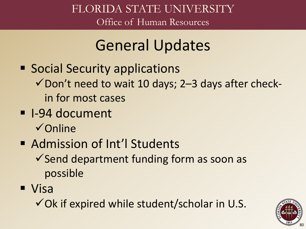## General Updates

- **Social Security applications**  $\checkmark$  Don't need to wait 10 days; 2–3 days after checkin for most cases
- I-94 document
	- $\checkmark$  Online
- **Admission of Int'l Students** 
	- $\checkmark$  Send department funding form as soon as possible
- Visa
	- $\checkmark$  Ok if expired while student/scholar in U.S.

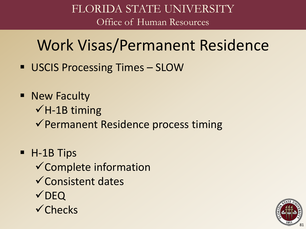## Work Visas/Permanent Residence

- **USCIS Processing Times SLOW**
- **New Faculty**  $\checkmark$  H-1B timing  $\checkmark$  Permanent Residence process timing
- H-1B Tips  $\checkmark$  Complete information  $\checkmark$  Consistent dates **√DEQ**  $\checkmark$ Checks

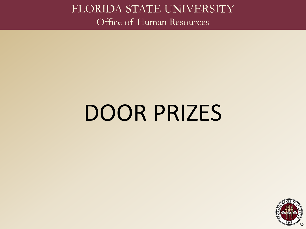# DOOR PRIZES

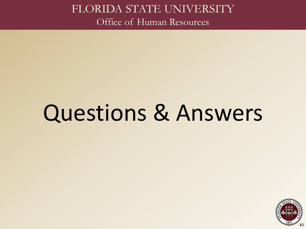# Questions & Answers

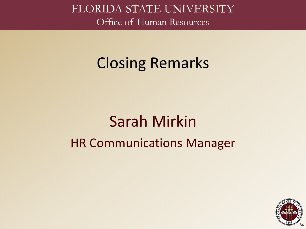## Closing Remarks

# Sarah Mirkin HR Communications Manager